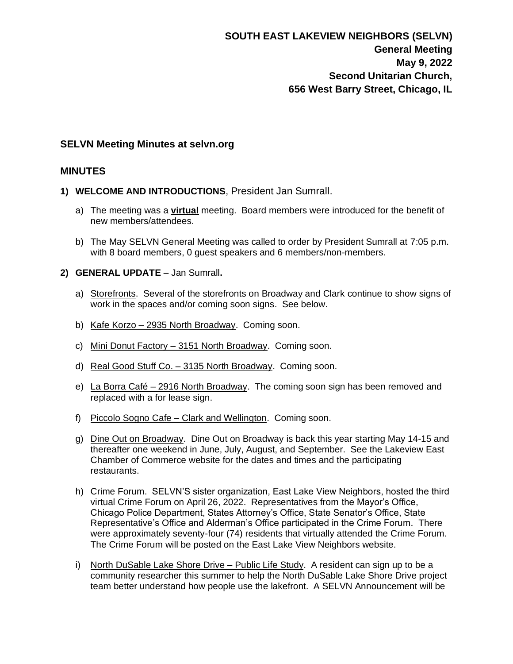### **SELVN Meeting Minutes at selvn.org**

## **MINUTES**

- **1) WELCOME AND INTRODUCTIONS**, President Jan Sumrall.
	- a) The meeting was a **virtual** meeting. Board members were introduced for the benefit of new members/attendees.
	- b) The May SELVN General Meeting was called to order by President Sumrall at 7:05 p.m. with 8 board members, 0 guest speakers and 6 members/non-members.
- **2) GENERAL UPDATE** Jan Sumrall**.**
	- a) Storefronts. Several of the storefronts on Broadway and Clark continue to show signs of work in the spaces and/or coming soon signs. See below.
	- b) Kafe Korzo 2935 North Broadway. Coming soon.
	- c) Mini Donut Factory 3151 North Broadway. Coming soon.
	- d) Real Good Stuff Co. 3135 North Broadway. Coming soon.
	- e) La Borra Café 2916 North Broadway. The coming soon sign has been removed and replaced with a for lease sign.
	- f) Piccolo Sogno Cafe Clark and Wellington. Coming soon.
	- g) Dine Out on Broadway. Dine Out on Broadway is back this year starting May 14-15 and thereafter one weekend in June, July, August, and September. See the Lakeview East Chamber of Commerce website for the dates and times and the participating restaurants.
	- h) Crime Forum. SELVN'S sister organization, East Lake View Neighbors, hosted the third virtual Crime Forum on April 26, 2022. Representatives from the Mayor's Office, Chicago Police Department, States Attorney's Office, State Senator's Office, State Representative's Office and Alderman's Office participated in the Crime Forum. There were approximately seventy-four (74) residents that virtually attended the Crime Forum. The Crime Forum will be posted on the East Lake View Neighbors website.
	- i) North DuSable Lake Shore Drive Public Life Study. A resident can sign up to be a community researcher this summer to help the North DuSable Lake Shore Drive project team better understand how people use the lakefront. A SELVN Announcement will be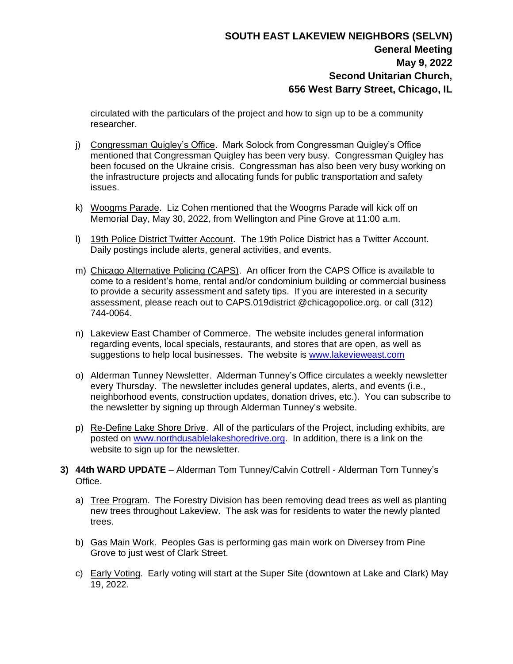## **SOUTH EAST LAKEVIEW NEIGHBORS (SELVN) General Meeting May 9, 2022 Second Unitarian Church, 656 West Barry Street, Chicago, IL**

circulated with the particulars of the project and how to sign up to be a community researcher.

- j) Congressman Quigley's Office. Mark Solock from Congressman Quigley's Office mentioned that Congressman Quigley has been very busy. Congressman Quigley has been focused on the Ukraine crisis. Congressman has also been very busy working on the infrastructure projects and allocating funds for public transportation and safety issues.
- k) Woogms Parade. Liz Cohen mentioned that the Woogms Parade will kick off on Memorial Day, May 30, 2022, from Wellington and Pine Grove at 11:00 a.m.
- l) 19th Police District Twitter Account. The 19th Police District has a Twitter Account. Daily postings include alerts, general activities, and events.
- m) Chicago Alternative Policing (CAPS). An officer from the CAPS Office is available to come to a resident's home, rental and/or condominium building or commercial business to provide a security assessment and safety tips. If you are interested in a security assessment, please reach out to CAPS.019district @chicagopolice.org. or call (312) 744-0064.
- n) Lakeview East Chamber of Commerce. The website includes general information regarding events, local specials, restaurants, and stores that are open, as well as suggestions to help local businesses. The website is [www.lakevieweast.com](http://www.lakevieweast.com/)
- o) Alderman Tunney Newsletter. Alderman Tunney's Office circulates a weekly newsletter every Thursday. The newsletter includes general updates, alerts, and events (i.e., neighborhood events, construction updates, donation drives, etc.). You can subscribe to the newsletter by signing up through Alderman Tunney's website.
- p) Re-Define Lake Shore Drive. All of the particulars of the Project, including exhibits, are posted on [www.northdusablelakeshoredrive.org.](http://www.northdusablelakeshoredrive.org/) In addition, there is a link on the website to sign up for the newsletter.
- **3) 44th WARD UPDATE** Alderman Tom Tunney/Calvin Cottrell Alderman Tom Tunney's Office.
	- a) Tree Program. The Forestry Division has been removing dead trees as well as planting new trees throughout Lakeview. The ask was for residents to water the newly planted trees.
	- b) Gas Main Work. Peoples Gas is performing gas main work on Diversey from Pine Grove to just west of Clark Street.
	- c) Early Voting. Early voting will start at the Super Site (downtown at Lake and Clark) May 19, 2022.